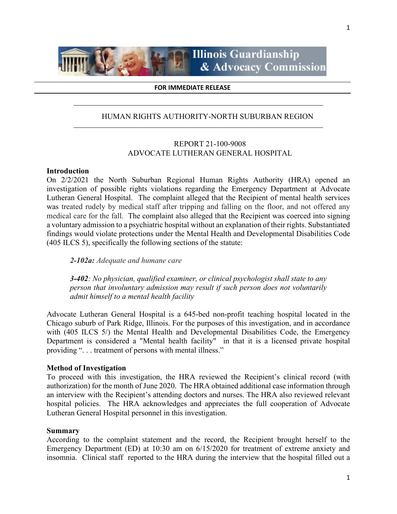

**Illinois Guardianship** & Advocacy Commission

#### **FOR IMMEDIATE RELEASE**

## HUMAN RIGHTS AUTHORITY-NORTH SUBURBAN REGION

## REPORT 21-100-9008 ADVOCATE LUTHERAN GENERAL HOSPITAL

#### **Introduction**

On 2/2/2021 the North Suburban Regional Human Rights Authority (HRA) opened an investigation of possible rights violations regarding the Emergency Department at Advocate Lutheran General Hospital. The complaint alleged that the Recipient of mental health services was treated rudely by medical staff after tripping and falling on the floor, and not offered any medical care for the fall. The complaint also alleged that the Recipient was coerced into signing a voluntary admission to a psychiatric hospital without an explanation of their rights. Substantiated findings would violate protections under the Mental Health and Developmental Disabilities Code (405 ILCS 5), specifically the following sections of the statute:

*2-102a: Adequate and humane care* 

*3-402: No physician, qualified examiner, or clinical psychologist shall state to any person that involuntary admission may result if such person does not voluntarily admit himself to a mental health facility* 

Advocate Lutheran General Hospital is a 645-bed non-profit teaching hospital located in the Chicago suburb of Park Ridge, Illinois. For the purposes of this investigation, and in accordance with (405 ILCS 5/) the Mental Health and Developmental Disabilities Code, the Emergency Department is considered a "Mental health facility" in that it is a licensed private hospital providing ". . . treatment of persons with mental illness."

#### **Method of Investigation**

To proceed with this investigation, the HRA reviewed the Recipient's clinical record (with authorization) for the month of June 2020. The HRA obtained additional case information through an interview with the Recipient's attending doctors and nurses. The HRA also reviewed relevant hospital policies. The HRA acknowledges and appreciates the full cooperation of Advocate Lutheran General Hospital personnel in this investigation.

#### **Summary**

According to the complaint statement and the record, the Recipient brought herself to the Emergency Department (ED) at 10:30 am on 6/15/2020 for treatment of extreme anxiety and insomnia. Clinical staff reported to the HRA during the interview that the hospital filled out a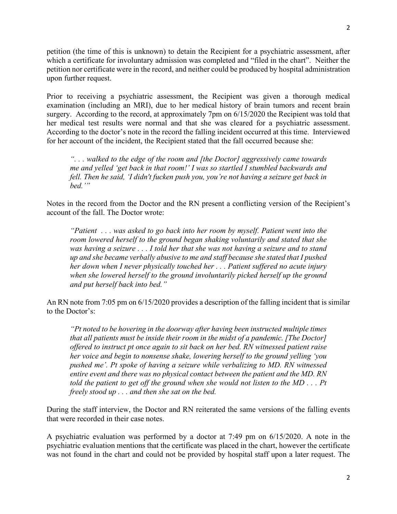petition (the time of this is unknown) to detain the Recipient for a psychiatric assessment, after which a certificate for involuntary admission was completed and "filed in the chart". Neither the petition nor certificate were in the record, and neither could be produced by hospital administration upon further request.

Prior to receiving a psychiatric assessment, the Recipient was given a thorough medical examination (including an MRI), due to her medical history of brain tumors and recent brain surgery. According to the record, at approximately 7pm on 6/15/2020 the Recipient was told that her medical test results were normal and that she was cleared for a psychiatric assessment. According to the doctor's note in the record the falling incident occurred at this time. Interviewed for her account of the incident, the Recipient stated that the fall occurred because she:

*". . . walked to the edge of the room and [the Doctor] aggressively came towards me and yelled 'get back in that room!' I was so startled I stumbled backwards and fell. Then he said, 'I didn't fucken push you, you're not having a seizure get back in bed.'"*

Notes in the record from the Doctor and the RN present a conflicting version of the Recipient's account of the fall. The Doctor wrote:

*"Patient . . . was asked to go back into her room by myself. Patient went into the room lowered herself to the ground began shaking voluntarily and stated that she was having a seizure . . . I told her that she was not having a seizure and to stand up and she became verbally abusive to me and staff because she stated that I pushed her down when I never physically touched her . . . Patient suffered no acute injury when she lowered herself to the ground involuntarily picked herself up the ground and put herself back into bed."*

An RN note from 7:05 pm on 6/15/2020 provides a description of the falling incident that is similar to the Doctor's:

*"Pt noted to be hovering in the doorway after having been instructed multiple times that all patients must be inside their room in the midst of a pandemic. [The Doctor] offered to instruct pt once again to sit back on her bed. RN witnessed patient raise her voice and begin to nonsense shake, lowering herself to the ground yelling 'you pushed me'. Pt spoke of having a seizure while verbalizing to MD. RN witnessed entire event and there was no physical contact between the patient and the MD. RN told the patient to get off the ground when she would not listen to the MD . . . Pt freely stood up . . . and then she sat on the bed.* 

During the staff interview, the Doctor and RN reiterated the same versions of the falling events that were recorded in their case notes.

A psychiatric evaluation was performed by a doctor at 7:49 pm on 6/15/2020. A note in the psychiatric evaluation mentions that the certificate was placed in the chart, however the certificate was not found in the chart and could not be provided by hospital staff upon a later request. The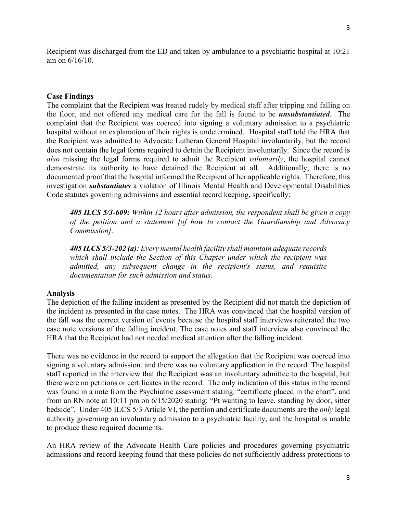3

Recipient was discharged from the ED and taken by ambulance to a psychiatric hospital at 10:21 am on 6/16/10.

## **Case Findings**

The complaint that the Recipient was treated rudely by medical staff after tripping and falling on the floor, and not offered any medical care for the fall is found to be *unsubstantiated*. The complaint that the Recipient was coerced into signing a voluntary admission to a psychiatric hospital without an explanation of their rights is undetermined. Hospital staff told the HRA that the Recipient was admitted to Advocate Lutheran General Hospital involuntarily, but the record does not contain the legal forms required to detain the Recipient involuntarily. Since the record is *also* missing the legal forms required to admit the Recipient *voluntarily*, the hospital cannot demonstrate its authority to have detained the Recipient at all. Additionally, there is no documented proof that the hospital informed the Recipient of her applicable rights. Therefore, this investigation *substantiates* a violation of Illinois Mental Health and Developmental Disabilities Code statutes governing admissions and essential record keeping, specifically:

*405 ILCS 5/3-609: Within 12 hours after admission, the respondent shall be given a copy of the petition and a statement [of how to contact the Guardianship and Advocacy Commission].*

*405 ILCS 5/3-202 (a): Every mental health facility shall maintain adequate records which shall include the Section of this Chapter under which the recipient was admitted, any subsequent change in the recipient's status, and requisite documentation for such admission and status.*

## **Analysis**

The depiction of the falling incident as presented by the Recipient did not match the depiction of the incident as presented in the case notes. The HRA was convinced that the hospital version of the fall was the correct version of events because the hospital staff interviews reiterated the two case note versions of the falling incident. The case notes and staff interview also convinced the HRA that the Recipient had not needed medical attention after the falling incident.

There was no evidence in the record to support the allegation that the Recipient was coerced into signing a voluntary admission, and there was no voluntary application in the record. The hospital staff reported in the interview that the Recipient was an involuntary admittee to the hospital, but there were no petitions or certificates in the record. The only indication of this status in the record was found in a note from the Psychiatric assessment stating: "certificate placed in the chart", and from an RN note at 10:11 pm on 6/15/2020 stating: "Pt wanting to leave, standing by door, sitter bedside". Under 405 ILCS 5/3 Article VI, the petition and certificate documents are the *only* legal authority governing an involuntary admission to a psychiatric facility, and the hospital is unable to produce these required documents.

An HRA review of the Advocate Health Care policies and procedures governing psychiatric admissions and record keeping found that these policies do not sufficiently address protections to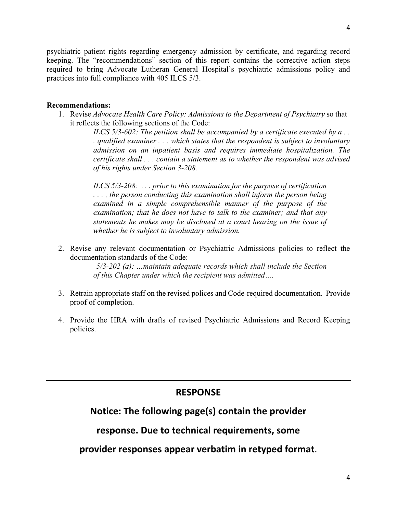4

psychiatric patient rights regarding emergency admission by certificate, and regarding record keeping. The "recommendations" section of this report contains the corrective action steps required to bring Advocate Lutheran General Hospital's psychiatric admissions policy and practices into full compliance with 405 ILCS 5/3.

## **Recommendations:**

1. Revise *Advocate Health Care Policy: Admissions to the Department of Psychiatry* so that it reflects the following sections of the Code:

> *ILCS 5/3-602: The petition shall be accompanied by a certificate executed by a... . qualified examiner . . . which states that the respondent is subject to involuntary admission on an inpatient basis and requires immediate hospitalization. The certificate shall . . . contain a statement as to whether the respondent was advised of his rights under Section 3-208.*

*ILCS 5/3-208: . . . prior to this examination for the purpose of certification . . . , the person conducting this examination shall inform the person being examined in a simple comprehensible manner of the purpose of the examination; that he does not have to talk to the examiner; and that any statements he makes may be disclosed at a court hearing on the issue of whether he is subject to involuntary admission.* 

2. Revise any relevant documentation or Psychiatric Admissions policies to reflect the documentation standards of the Code:

> *5/3-202 (a): …maintain adequate records which shall include the Section of this Chapter under which the recipient was admitted….*

- 3. Retrain appropriate staff on the revised polices and Code-required documentation. Provide proof of completion.
- 4. Provide the HRA with drafts of revised Psychiatric Admissions and Record Keeping policies.

## **RESPONSE**

## **Notice: The following page(s) contain the provider**

## **response. Due to technical requirements, some**

**provider responses appear verbatim in retyped format**.